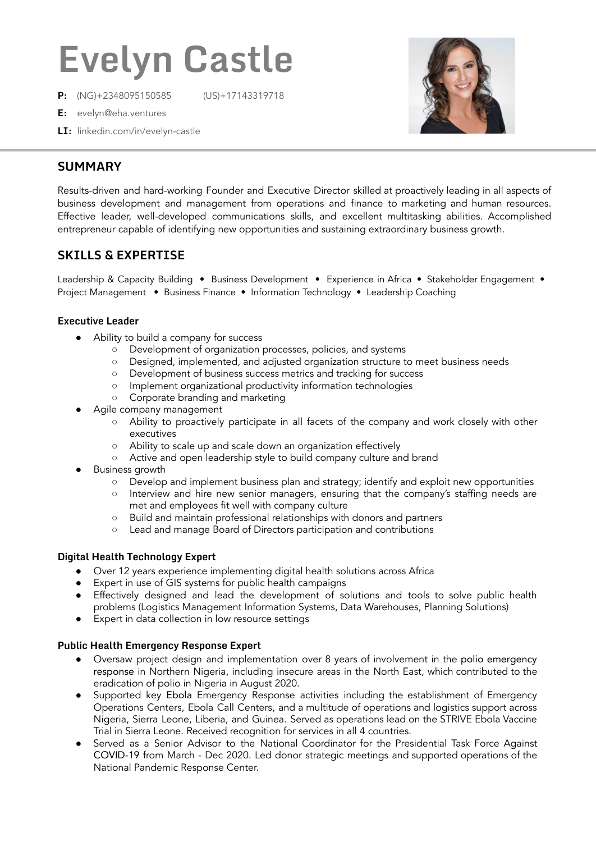# **Evelyn Castle**

**P:** (NG)+2348095150585 (US)+17143319718



- **E:** evelyn@eha.ventures
- **LI:** linkedin.com/in/evelyn-castle

## **SUMMARY**

Results-driven and hard-working Founder and Executive Director skilled at proactively leading in all aspects of business development and management from operations and finance to marketing and human resources. Effective leader, well-developed communications skills, and excellent multitasking abilities. Accomplished entrepreneur capable of identifying new opportunities and sustaining extraordinary business growth.

# **SKILLS & EXPERTISE**

Leadership & Capacity Building • Business Development • Experience in Africa • Stakeholder Engagement • Project Management • Business Finance • Information Technology • Leadership Coaching

#### **Executive Leader**

- Ability to build a company for success
	- Development of organization processes, policies, and systems
	- Designed, implemented, and adjusted organization structure to meet business needs
	- Development of business success metrics and tracking for success
	- Implement organizational productivity information technologies
	- Corporate branding and marketing
- Agile company management
	- Ability to proactively participate in all facets of the company and work closely with other executives
	- Ability to scale up and scale down an organization effectively
	- Active and open leadership style to build company culture and brand
- **Business growth** 
	- Develop and implement business plan and strategy; identify and exploit new opportunities
	- Interview and hire new senior managers, ensuring that the company's staffing needs are met and employees fit well with company culture
	- Build and maintain professional relationships with donors and partners
	- Lead and manage Board of Directors participation and contributions

#### **Digital Health Technology Expert**

- Over 12 years experience implementing digital health solutions across Africa
- Expert in use of GIS systems for public health campaigns
- Effectively designed and lead the development of solutions and tools to solve public health problems (Logistics Management Information Systems, Data Warehouses, Planning Solutions)
- Expert in data collection in low resource settings

#### **Public Health Emergency Response Expert**

- Oversaw project design and implementation over 8 years of involvement in the polio emergency response in Northern Nigeria, including insecure areas in the North East, which contributed to the eradication of polio in Nigeria in August 2020.
- Supported key Ebola Emergency Response activities including the establishment of Emergency Operations Centers, Ebola Call Centers, and a multitude of operations and logistics support across Nigeria, Sierra Leone, Liberia, and Guinea. Served as operations lead on the STRIVE Ebola Vaccine Trial in Sierra Leone. Received recognition for services in all 4 countries.
- Served as a Senior Advisor to the National Coordinator for the Presidential Task Force Against COVID-19 from March - Dec 2020. Led donor strategic meetings and supported operations of the National Pandemic Response Center.